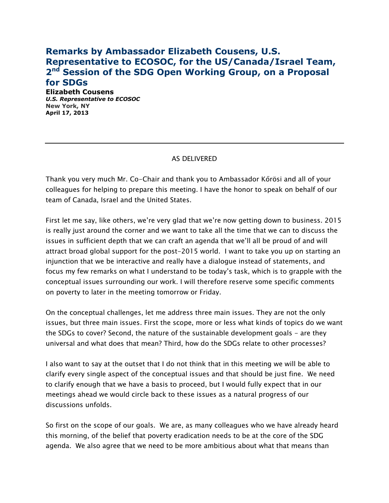## **Remarks by Ambassador Elizabeth Cousens, U.S. Representative to ECOSOC, for the US/Canada/Israel Team, 2 nd Session of the SDG Open Working Group, on a Proposal for SDGs**

**Elizabeth Cousens** *U.S. Representative to ECOSOC* **New York, NY April 17, 2013**

## AS DELIVERED

Thank you very much Mr. Co-Chair and thank you to Ambassador Kőrösi and all of your colleagues for helping to prepare this meeting. I have the honor to speak on behalf of our team of Canada, Israel and the United States.

First let me say, like others, we're very glad that we're now getting down to business. 2015 is really just around the corner and we want to take all the time that we can to discuss the issues in sufficient depth that we can craft an agenda that we'll all be proud of and will attract broad global support for the post-2015 world. I want to take you up on starting an injunction that we be interactive and really have a dialogue instead of statements, and focus my few remarks on what I understand to be today's task, which is to grapple with the conceptual issues surrounding our work. I will therefore reserve some specific comments on poverty to later in the meeting tomorrow or Friday.

On the conceptual challenges, let me address three main issues. They are not the only issues, but three main issues. First the scope, more or less what kinds of topics do we want the SDGs to cover? Second, the nature of the sustainable development goals - are they universal and what does that mean? Third, how do the SDGs relate to other processes?

I also want to say at the outset that I do not think that in this meeting we will be able to clarify every single aspect of the conceptual issues and that should be just fine. We need to clarify enough that we have a basis to proceed, but I would fully expect that in our meetings ahead we would circle back to these issues as a natural progress of our discussions unfolds.

So first on the scope of our goals. We are, as many colleagues who we have already heard this morning, of the belief that poverty eradication needs to be at the core of the SDG agenda. We also agree that we need to be more ambitious about what that means than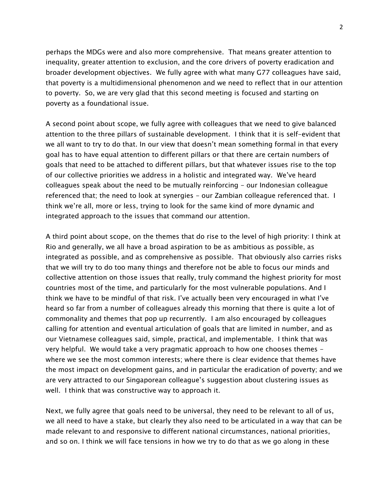perhaps the MDGs were and also more comprehensive. That means greater attention to inequality, greater attention to exclusion, and the core drivers of poverty eradication and broader development objectives. We fully agree with what many G77 colleagues have said, that poverty is a multidimensional phenomenon and we need to reflect that in our attention to poverty. So, we are very glad that this second meeting is focused and starting on poverty as a foundational issue.

A second point about scope, we fully agree with colleagues that we need to give balanced attention to the three pillars of sustainable development. I think that it is self-evident that we all want to try to do that. In our view that doesn't mean something formal in that every goal has to have equal attention to different pillars or that there are certain numbers of goals that need to be attached to different pillars, but that whatever issues rise to the top of our collective priorities we address in a holistic and integrated way. We've heard colleagues speak about the need to be mutually reinforcing - our Indonesian colleague referenced that; the need to look at synergies - our Zambian colleague referenced that. I think we're all, more or less, trying to look for the same kind of more dynamic and integrated approach to the issues that command our attention.

A third point about scope, on the themes that do rise to the level of high priority: I think at Rio and generally, we all have a broad aspiration to be as ambitious as possible, as integrated as possible, and as comprehensive as possible. That obviously also carries risks that we will try to do too many things and therefore not be able to focus our minds and collective attention on those issues that really, truly command the highest priority for most countries most of the time, and particularly for the most vulnerable populations. And I think we have to be mindful of that risk. I've actually been very encouraged in what I've heard so far from a number of colleagues already this morning that there is quite a lot of commonality and themes that pop up recurrently. I am also encouraged by colleagues calling for attention and eventual articulation of goals that are limited in number, and as our Vietnamese colleagues said, simple, practical, and implementable. I think that was very helpful. We would take a very pragmatic approach to how one chooses themes where we see the most common interests; where there is clear evidence that themes have the most impact on development gains, and in particular the eradication of poverty; and we are very attracted to our Singaporean colleague's suggestion about clustering issues as well. I think that was constructive way to approach it.

Next, we fully agree that goals need to be universal, they need to be relevant to all of us, we all need to have a stake, but clearly they also need to be articulated in a way that can be made relevant to and responsive to different national circumstances, national priorities, and so on. I think we will face tensions in how we try to do that as we go along in these